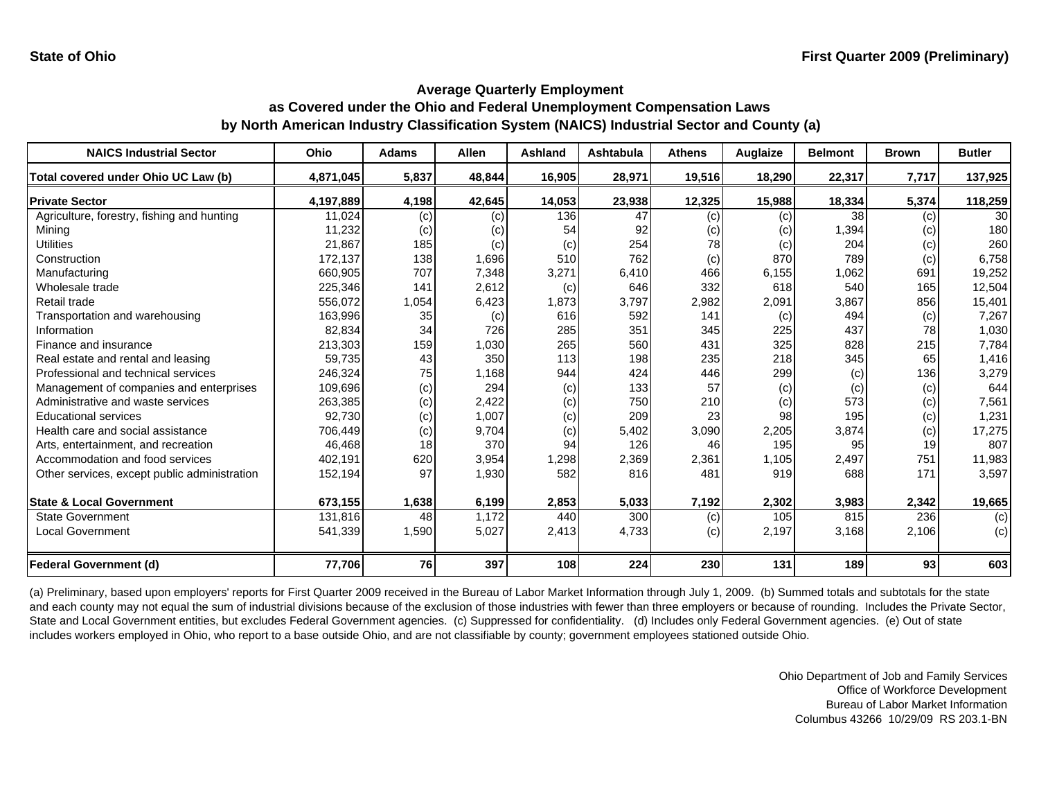| <b>NAICS Industrial Sector</b>               | <b>Ohio</b> | <b>Adams</b> | <b>Allen</b> | <b>Ashland</b> | <b>Ashtabula</b> | <b>Athens</b> | Auglaize | <b>Belmont</b> | <b>Brown</b> | <b>Butler</b>   |
|----------------------------------------------|-------------|--------------|--------------|----------------|------------------|---------------|----------|----------------|--------------|-----------------|
| Total covered under Ohio UC Law (b)          | 4,871,045   | 5,837        | 48,844       | 16,905         | 28,971           | 19,516        | 18,290   | 22,317         | 7,717        | 137,925         |
| <b>Private Sector</b>                        | 4,197,889   | 4,198        | 42,645       | 14,053         | 23,938           | 12,325        | 15,988   | 18,334         | 5,374        | 118,259         |
| Agriculture, forestry, fishing and hunting   | 11,024      | (c)          | (c)          | 136            | 47               | (c)           | (c)      | 38             | (c)          | 30 <sup>1</sup> |
| Mining                                       | 11,232      | (c)          | (c)          | 54             | 92               | (c)           | (c)      | 1,394          | (c)          | 180             |
| <b>Utilities</b>                             | 21,867      | 185          | (c)          | (c)            | 254              | 78            | (c)      | 204            | (c)          | 260             |
| Construction                                 | 172,137     | 138          | 1,696        | 510            | 762              | (c)           | 870      | 789            | (c)          | 6,758           |
| Manufacturing                                | 660,905     | 707          | 7,348        | 3,271          | 6,410            | 466           | 6,155    | 1,062          | 691          | 19,252          |
| Wholesale trade                              | 225,346     | 141          | 2,612        | (c)            | 646              | 332           | 618      | 540            | 165          | 12,504          |
| Retail trade                                 | 556,072     | 1,054        | 6,423        | 1,873          | 3,797            | 2,982         | 2,091    | 3,867          | 856          | 15,401          |
| Transportation and warehousing               | 163,996     | 35           | (c)          | 616            | 592              | 141           | (c)      | 494            | (c)          | 7,267           |
| Information                                  | 82,834      | 34           | 726          | 285            | 351              | 345           | 225      | 437            | 78           | 1,030           |
| Finance and insurance                        | 213,303     | 159          | 1,030        | 265            | 560              | 431           | 325      | 828            | 215          | 7,784           |
| Real estate and rental and leasing           | 59,735      | 43           | 350          | 113            | 198              | 235           | 218      | 345            | 65           | 1,416           |
| Professional and technical services          | 246,324     | 75           | 1,168        | 944            | 424              | 446           | 299      | (c)            | 136          | 3,279           |
| Management of companies and enterprises      | 109,696     | (c)          | 294          | (c)            | 133              | 57            | (c)      | (c)            | (c)          | 644             |
| Administrative and waste services            | 263,385     | (c)          | 2,422        | (c)            | 750              | 210           | (c)      | 573            | (c)          | 7,561           |
| <b>Educational services</b>                  | 92,730      | (c)          | 1,007        | (c)            | 209              | 23            | 98       | 195            | (c)          | 1,231           |
| Health care and social assistance            | 706,449     | (c)          | 9,704        | (c)            | 5,402            | 3,090         | 2,205    | 3,874          | (c)          | 17,275          |
| Arts, entertainment, and recreation          | 46,468      | 18           | 370          | 94             | 126              | 46            | 195      | 95             | 19           | 807             |
| Accommodation and food services              | 402,191     | 620          | 3,954        | 1,298          | 2,369            | 2,361         | 1,105    | 2,497          | 751          | 11,983          |
| Other services, except public administration | 152,194     | 97           | 1,930        | 582            | 816              | 481           | 919      | 688            | 171          | 3,597           |
| <b>State &amp; Local Government</b>          | 673,155     | 1,638        | 6,199        | 2,853          | 5,033            | 7,192         | 2,302    | 3,983          | 2,342        | 19,665          |
| <b>State Government</b>                      | 131,816     | 48           | 1,172        | 440            | 300              | (c)           | 105      | 815            | 236          | (c)             |
| <b>Local Government</b>                      | 541,339     | 1,590        | 5,027        | 2,413          | 4,733            | (c)           | 2,197    | 3,168          | 2,106        | (c)             |
| <b>Federal Government (d)</b>                | 77,706      | 76           | 397          | 108            | 224              | 230           | 131      | 189            | 93           | 603             |

(a) Preliminary, based upon employers' reports for First Quarter 2009 received in the Bureau of Labor Market Information through July 1, 2009. (b) Summed totals and subtotals for the state and each county may not equal the sum of industrial divisions because of the exclusion of those industries with fewer than three employers or because of rounding. Includes the Private Sector, State and Local Government entities, but excludes Federal Government agencies. (c) Suppressed for confidentiality. (d) Includes only Federal Government agencies. (e) Out of state includes workers employed in Ohio, who report to a base outside Ohio, and are not classifiable by county; government employees stationed outside Ohio.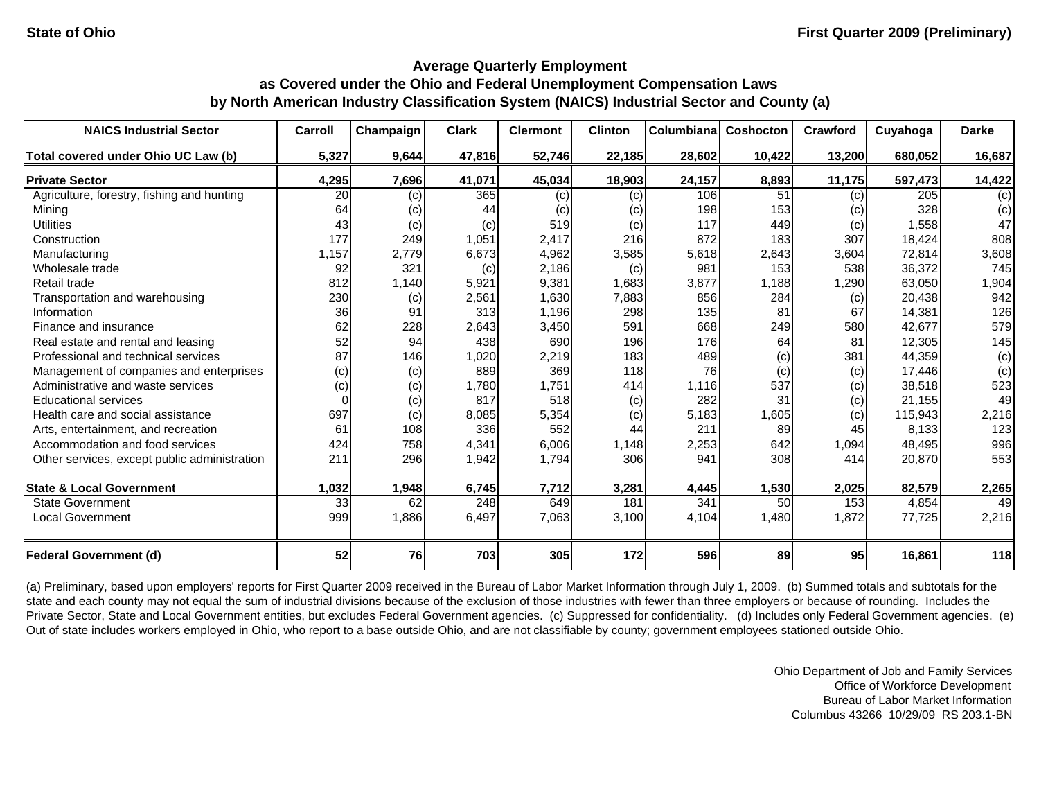| <b>NAICS Industrial Sector</b>               | Carroll | Champaign | <b>Clark</b> | <b>Clermont</b> | <b>Clinton</b> | Columbianal | Coshocton | Crawford        | Cuyahoga | <b>Darke</b> |
|----------------------------------------------|---------|-----------|--------------|-----------------|----------------|-------------|-----------|-----------------|----------|--------------|
| Total covered under Ohio UC Law (b)          | 5,327   | 9,644     | 47,816       | 52,746          | 22,185         | 28,602      | 10,422    | 13,200          | 680,052  | 16,687       |
| <b>Private Sector</b>                        | 4,295   | 7,696     | 41,071       | 45,034          | 18,903         | 24,157      | 8,893     | 11,175          | 597,473  | 14,422       |
| Agriculture, forestry, fishing and hunting   | 20      | (c)       | 365          | (c)             | (c)            | 106         | 51        | (c)             | 205      | (c)          |
| Mining                                       | 64      | (c)       | 44           | (c)             | (c)            | 198         | 153       | (c)             | 328      | (c)          |
| <b>Utilities</b>                             | 43      | (c)       | (c)          | 519             | (c)            | 117         | 449       | (c)             | 1,558    | 47           |
| Construction                                 | 177     | 249       | 1,051        | 2,417           | 216            | 872         | 183       | 307             | 18,424   | 808          |
| Manufacturing                                | 1,157   | 2,779     | 6,673        | 4,962           | 3,585          | 5,618       | 2,643     | 3,604           | 72,814   | 3,608        |
| Wholesale trade                              | 92      | 321       | (c)          | 2,186           | (c)            | 981         | 153       | 538             | 36,372   | 745          |
| Retail trade                                 | 812     | 1,140     | 5,921        | 9,381           | 1,683          | 3,877       | 1,188     | 1,290           | 63,050   | 1,904        |
| Transportation and warehousing               | 230     | (c)       | 2,561        | 1,630           | 7,883          | 856         | 284       | (c)             | 20,438   | 942          |
| Information                                  | 36      | 91        | 313          | 1,196           | 298            | 135         | 81        | 67              | 14,381   | 126          |
| Finance and insurance                        | 62      | 228       | 2,643        | 3,450           | 591            | 668         | 249       | 580             | 42.677   | 579          |
| Real estate and rental and leasing           | 52      | 94        | 438          | 690             | 196            | 176         | 64        | 81              | 12,305   | 145          |
| Professional and technical services          | 87      | 146       | 1,020        | 2,219           | 183            | 489         | (c)       | 381             | 44,359   | (c)          |
| Management of companies and enterprises      | (c)     | (c)       | 889          | 369             | 118            | 76          | (c)       | (c)             | 17,446   | (c)          |
| Administrative and waste services            | (c)     | (c)       | 1,780        | 1,751           | 414            | 1,116       | 537       | (c)             | 38,518   | 523          |
| <b>Educational services</b>                  |         | (c)       | 817          | 518             | (c)            | 282         | 31        | (c)             | 21,155   | 49           |
| Health care and social assistance            | 697     | (c)       | 8,085        | 5,354           | (c)            | 5,183       | 1,605     | (c)             | 115,943  | 2,216        |
| Arts, entertainment, and recreation          | 61      | 108       | 336          | 552             | 44             | 211         | 89        | 45              | 8,133    | 123          |
| Accommodation and food services              | 424     | 758       | 4,341        | 6,006           | 1,148          | 2,253       | 642       | 1,094           | 48,495   | 996          |
| Other services, except public administration | 211     | 296       | 1,942        | 1,794           | 306            | 941         | 308       | 414             | 20,870   | 553          |
| <b>State &amp; Local Government</b>          | 1,032   | 1,948     | 6,745        | 7,712           | 3,281          | 4,445       | 1,530     | 2,025           | 82,579   | 2,265        |
| <b>State Government</b>                      | 33      | 62        | 248          | 649             | 181            | 341         | 50        | 153             | 4,854    | 49           |
| <b>Local Government</b>                      | 999     | 1,886     | 6,497        | 7,063           | 3,100          | 4,104       | 1,480     | 1,872           | 77,725   | 2,216        |
| <b>Federal Government (d)</b>                | 52      | <b>76</b> | 703          | 305             | 172            | 596         | 89        | 95 <sub>l</sub> | 16,861   | 118          |

(a) Preliminary, based upon employers' reports for First Quarter 2009 received in the Bureau of Labor Market Information through July 1, 2009. (b) Summed totals and subtotals for the state and each county may not equal the sum of industrial divisions because of the exclusion of those industries with fewer than three employers or because of rounding. Includes the Private Sector, State and Local Government entities, but excludes Federal Government agencies. (c) Suppressed for confidentiality. (d) Includes only Federal Government agencies. (e) Out of state includes workers employed in Ohio, who report to a base outside Ohio, and are not classifiable by county; government employees stationed outside Ohio.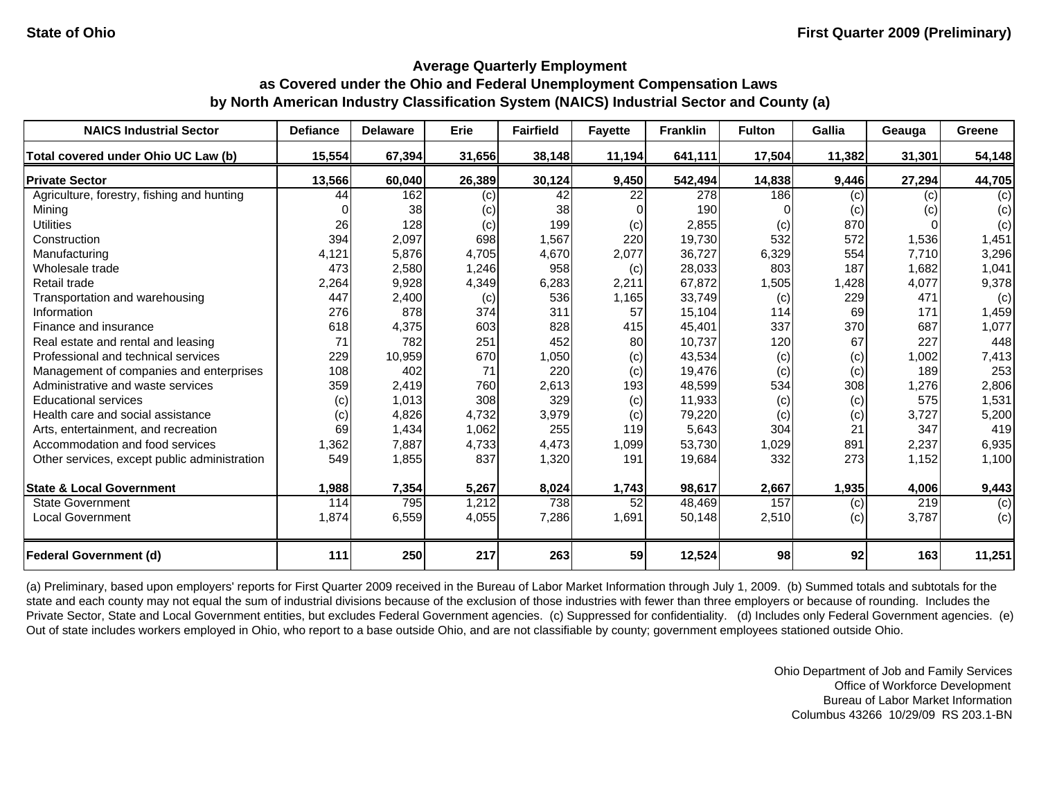| <b>NAICS Industrial Sector</b>               | <b>Defiance</b> | <b>Delaware</b> | Erie   | <b>Fairfield</b> | <b>Fayette</b> | <b>Franklin</b>  | <b>Fulton</b> | <b>Gallia</b> | Geauga | Greene |
|----------------------------------------------|-----------------|-----------------|--------|------------------|----------------|------------------|---------------|---------------|--------|--------|
| Total covered under Ohio UC Law (b)          | 15,554          | 67,394          | 31,656 | 38,148           | 11,194         | 641,111          | 17,504        | 11,382        | 31,301 | 54,148 |
| <b>Private Sector</b>                        | 13,566          | 60,040          | 26,389 | 30,124           | 9,450          | 542,494          | 14,838        | 9,446         | 27,294 | 44,705 |
| Agriculture, forestry, fishing and hunting   | 44              | 162             | (c)    | 42               | 22             | $\overline{278}$ | 186           | (c)           | (c)    | (c)    |
| Mining                                       |                 | 38              | (c)    | 38               |                | 190              |               | (c)           | (c)    | (c)    |
| <b>Utilities</b>                             | 26              | 128             | (c)    | 199              | (c)            | 2,855            | (c)           | 870           |        | (c)    |
| Construction                                 | 394             | 2,097           | 698    | 1,567            | 220            | 19,730           | 532           | 572           | 1,536  | 1,451  |
| Manufacturing                                | 4,121           | 5,876           | 4,705  | 4,670            | 2,077          | 36,727           | 6,329         | 554           | 7,710  | 3,296  |
| Wholesale trade                              | 473             | 2,580           | 1,246  | 958              | (c)            | 28,033           | 803           | 187           | 1,682  | 1,041  |
| Retail trade                                 | 2,264           | 9,928           | 4,349  | 6,283            | 2,211          | 67,872           | 1,505         | 1,428         | 4,077  | 9,378  |
| Transportation and warehousing               | 447             | 2,400           | (c)    | 536              | 1,165          | 33,749           | (c)           | 229           | 471    | (c)    |
| Information                                  | 276             | 878             | 374    | 311              | 57             | 15,104           | 114           | 69            | 171    | 1,459  |
| Finance and insurance                        | 618             | 4,375           | 603    | 828              | 415            | 45,401           | 337           | 370           | 687    | 1,077  |
| Real estate and rental and leasing           | 71              | 782             | 251    | 452              | 80             | 10,737           | 120           | 67            | 227    | 448    |
| Professional and technical services          | 229             | 10,959          | 670    | 1,050            | (c)            | 43,534           | (c)           | (c)           | 1,002  | 7,413  |
| Management of companies and enterprises      | 108             | 402             | 71     | 220              | (c)            | 19,476           | (c)           | (c)           | 189    | 253    |
| Administrative and waste services            | 359             | 2,419           | 760    | 2,613            | 193            | 48,599           | 534           | 308           | 1,276  | 2,806  |
| <b>Educational services</b>                  | (c)             | 1,013           | 308    | 329              | (c)            | 11,933           | (c)           | (c)           | 575    | 1,531  |
| Health care and social assistance            | (c)             | 4,826           | 4,732  | 3,979            | (c)            | 79,220           | (c)           | (c)           | 3,727  | 5,200  |
| Arts, entertainment, and recreation          | 69              | 1,434           | 1,062  | 255              | 119            | 5,643            | 304           | 21            | 347    | 419    |
| Accommodation and food services              | 1,362           | 7,887           | 4,733  | 4,473            | 1,099          | 53,730           | 1,029         | 891           | 2,237  | 6,935  |
| Other services, except public administration | 549             | 1,855           | 837    | 1,320            | 191            | 19,684           | 332           | 273           | 1,152  | 1,100  |
| <b>State &amp; Local Government</b>          | 1,988           | 7,354           | 5,267  | 8,024            | 1,743          | 98,617           | 2,667         | 1,935         | 4,006  | 9,443  |
| <b>State Government</b>                      | 114             | 795             | 1,212  | 738              | 52             | 48,469           | 157           | (c)           | 219    | (c)    |
| <b>Local Government</b>                      | 1,874           | 6,559           | 4,055  | 7,286            | 1,691          | 50,148           | 2,510         | (c)           | 3,787  | (c)    |
| <b>Federal Government (d)</b>                | 111             | 250             | 217    | 263              | 59             | 12,524           | 98            | 92            | 163    | 11,251 |

(a) Preliminary, based upon employers' reports for First Quarter 2009 received in the Bureau of Labor Market Information through July 1, 2009. (b) Summed totals and subtotals for the state and each county may not equal the sum of industrial divisions because of the exclusion of those industries with fewer than three employers or because of rounding. Includes the Private Sector, State and Local Government entities, but excludes Federal Government agencies. (c) Suppressed for confidentiality. (d) Includes only Federal Government agencies. (e) Out of state includes workers employed in Ohio, who report to a base outside Ohio, and are not classifiable by county; government employees stationed outside Ohio.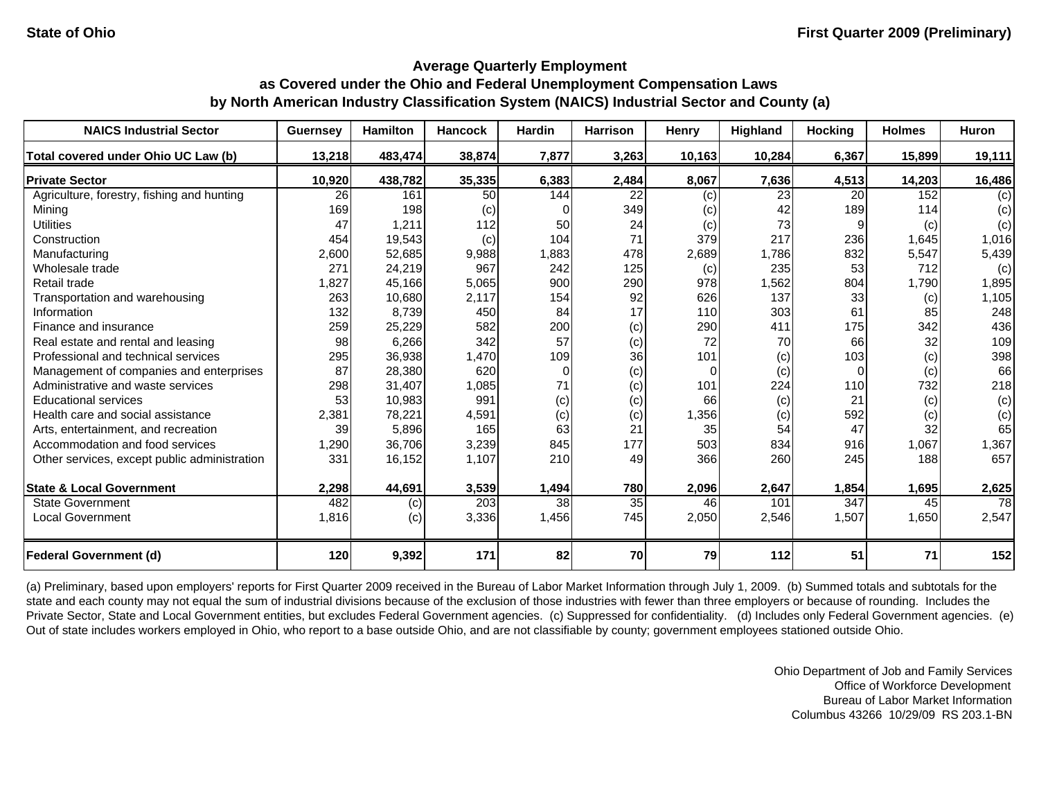| <b>NAICS Industrial Sector</b>               | <b>Guernsey</b> | <b>Hamilton</b> | <b>Hancock</b> | <b>Hardin</b>  | <b>Harrison</b> | Henry    | Highland | <b>Hocking</b>  | <b>Holmes</b> | Huron           |
|----------------------------------------------|-----------------|-----------------|----------------|----------------|-----------------|----------|----------|-----------------|---------------|-----------------|
| Total covered under Ohio UC Law (b)          | 13,218          | 483,474         | 38,874         | 7,877          | 3,263           | 10,163   | 10,284   | 6,367           | 15,899        | 19,111          |
| <b>Private Sector</b>                        | 10,920          | 438,782         | 35,335         | 6,383          | 2,484           | 8,067    | 7,636    | 4,513           | 14,203        | 16,486          |
| Agriculture, forestry, fishing and hunting   | 26              | 161             | 50             | 144            | 22              | (c)      | 23       | <b>20</b>       | 152           | (c)             |
| Mining                                       | 169             | 198             | (c)            | 0              | 349             | (c)      | 42       | 189             | 114           | (c)             |
| <b>Utilities</b>                             | 47              | 1,211           | 112            | 50             | 24              | (c)      | 73       | 9               | (c)           | (c)             |
| Construction                                 | 454             | 19,543          | (c)            | 104            | 71              | 379      | 217      | 236             | 1,645         | 1,016           |
| Manufacturing                                | 2,600           | 52,685          | 9,988          | 1,883          | 478             | 2,689    | 1,786    | 832             | 5,547         | 5,439           |
| Wholesale trade                              | 271             | 24,219          | 967            | 242            | 125             | (c)      | 235      | 53 <sub>l</sub> | 712           | (c)             |
| Retail trade                                 | 1,827           | 45,166          | 5,065          | 900            | 290             | 978      | 1,562    | 804             | 1,790         | 1,895           |
| Transportation and warehousing               | 263             | 10,680          | 2,117          | 154            | 92              | 626      | 137      | 33              | (c)           | 1,105           |
| Information                                  | 132             | 8,739           | 450            | 84             | 17              | 110      | 303      | 61              | 85            | 248             |
| Finance and insurance                        | 259             | 25,229          | 582            | 200            | (c)             | 290      | 411      | 175             | 342           | 436             |
| Real estate and rental and leasing           | 98              | 6,266           | 342            | 57             | (c)             | 72       | 70       | 66              | 32            | 109             |
| Professional and technical services          | 295             | 36,938          | 1,470          | 109            | 36              | 101      | (c)      | 103             | (c)           | 398             |
| Management of companies and enterprises      | 87              | 28,380          | 620            | $\overline{0}$ | (c)             | $\Omega$ | (c)      | $\Omega$        | (c)           | 66              |
| Administrative and waste services            | 298             | 31,407          | 1,085          | 71             | (c)             | 101      | 224      | 110             | 732           | 218             |
| <b>Educational services</b>                  | 53              | 10,983          | 991            | (c)            | (c)             | 66       | (c)      | 21              | (c)           | (c)             |
| Health care and social assistance            | 2,381           | 78,221          | 4,591          | (c)            | (c)             | 1,356    | (c)      | 592             | (c)           | (c)             |
| Arts, entertainment, and recreation          | 39              | 5,896           | 165            | 63             | 21              | 35       | 54       | 47              | 32            | 65              |
| Accommodation and food services              | 1,290           | 36,706          | 3,239          | 845            | 177             | 503      | 834      | 916             | 1,067         | 1,367           |
| Other services, except public administration | 331             | 16,152          | 1,107          | 210            | 49              | 366      | 260      | 245             | 188           | 657             |
| <b>State &amp; Local Government</b>          | 2,298           | 44,691          | 3,539          | 1,494          | 780             | 2,096    | 2,647    | 1,854           | 1,695         | 2,625           |
| <b>State Government</b>                      | 482             | (c)             | 203            | 38             | 35              | 46       | 101      | 347             | 45            | $\overline{78}$ |
| <b>Local Government</b>                      | 1,816           | (c)             | 3,336          | 1,456          | 745             | 2,050    | 2,546    | 1,507           | 1,650         | 2,547           |
| <b>Federal Government (d)</b>                | 120             | 9,392           | 171            | 82             | 70              | 79       | 112      | 51              | 71            | 152             |

(a) Preliminary, based upon employers' reports for First Quarter 2009 received in the Bureau of Labor Market Information through July 1, 2009. (b) Summed totals and subtotals for the state and each county may not equal the sum of industrial divisions because of the exclusion of those industries with fewer than three employers or because of rounding. Includes the Private Sector, State and Local Government entities, but excludes Federal Government agencies. (c) Suppressed for confidentiality. (d) Includes only Federal Government agencies. (e) Out of state includes workers employed in Ohio, who report to a base outside Ohio, and are not classifiable by county; government employees stationed outside Ohio.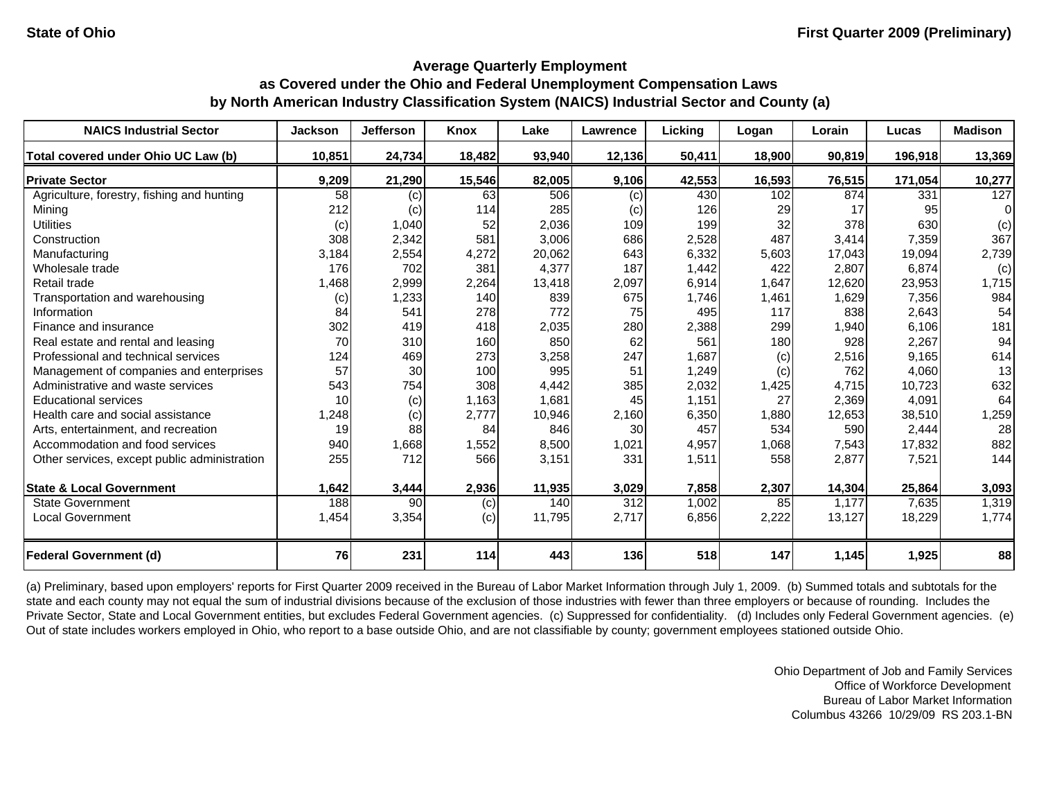| <b>NAICS Industrial Sector</b>               | <b>Jackson</b> | <b>Jefferson</b>  | Knox   | Lake   | Lawrence | Lickina | Logan  | Lorain | Lucas   | <b>Madison</b> |
|----------------------------------------------|----------------|-------------------|--------|--------|----------|---------|--------|--------|---------|----------------|
| Total covered under Ohio UC Law (b)          | 10,851         | 24,734            | 18,482 | 93,940 | 12,136   | 50,411  | 18,900 | 90,819 | 196,918 | 13,369         |
| <b>Private Sector</b>                        | 9,209          | 21,290            | 15,546 | 82,005 | 9,106    | 42,553  | 16,593 | 76,515 | 171,054 | 10,277         |
| Agriculture, forestry, fishing and hunting   | 58             | (c)               | 63     | 506    | (c)      | 430     | 102    | 874    | 331     | 127            |
| Mining                                       | 212            | $\left( c\right)$ | 114    | 285    | (c)      | 126     | 29     | 17     | 95      | $\Omega$       |
| <b>Utilities</b>                             | (c)            | 1,040             | 52     | 2,036  | 109      | 199     | 32     | 378    | 630     | (c)            |
| Construction                                 | 308            | 2,342             | 581    | 3,006  | 686      | 2,528   | 487    | 3,414  | 7,359   | 367            |
| Manufacturing                                | 3,184          | 2,554             | 4,272  | 20,062 | 643      | 6,332   | 5,603  | 17,043 | 19,094  | 2,739          |
| Wholesale trade                              | 176            | 702               | 381    | 4,377  | 187      | 1,442   | 422    | 2,807  | 6,874   | (c)            |
| Retail trade                                 | 1,468          | 2,999             | 2,264  | 13,418 | 2,097    | 6,914   | 1,647  | 12,620 | 23,953  | 1,715          |
| Transportation and warehousing               | (c)            | 1,233             | 140    | 839    | 675      | 1,746   | 1,461  | 1,629  | 7,356   | 984            |
| Information                                  | 84             | 541               | 278    | 772    | 75       | 495     | 117    | 838    | 2,643   | 54             |
| Finance and insurance                        | 302            | 419               | 418    | 2,035  | 280      | 2,388   | 299    | 1,940  | 6,106   | 181            |
| Real estate and rental and leasing           | 70             | 310               | 160    | 850    | 62       | 561     | 180    | 928    | 2,267   | 94             |
| Professional and technical services          | 124            | 469               | 273    | 3,258  | 247      | 1,687   | (c)    | 2,516  | 9,165   | 614            |
| Management of companies and enterprises      | 57             | 30                | 100    | 995    | 51       | 1,249   | (c)    | 762    | 4,060   | 13             |
| Administrative and waste services            | 543            | 754               | 308    | 4.442  | 385      | 2,032   | 1,425  | 4.715  | 10,723  | 632            |
| <b>Educational services</b>                  | 10             | (c)               | 1,163  | 1,681  | 45       | 1,151   | 27     | 2,369  | 4,091   | 64             |
| Health care and social assistance            | 1,248          | (c)               | 2,777  | 10,946 | 2,160    | 6,350   | 1,880  | 12,653 | 38,510  | 1,259          |
| Arts, entertainment, and recreation          | 19             | 88                | 84     | 846    | 30       | 457     | 534    | 590    | 2,444   | 28             |
| Accommodation and food services              | 940            | 1,668             | 1,552  | 8,500  | 1,021    | 4,957   | 1,068  | 7,543  | 17,832  | 882            |
| Other services, except public administration | 255            | 712               | 566    | 3,151  | 331      | 1,511   | 558    | 2,877  | 7,521   | 144            |
| <b>State &amp; Local Government</b>          | 1,642          | 3,444             | 2,936  | 11,935 | 3,029    | 7,858   | 2,307  | 14,304 | 25,864  | 3,093          |
| <b>State Government</b>                      | 188            | 90                | (c)    | 140    | 312      | 1,002   | 85     | 1,177  | 7,635   | 1,319          |
| <b>Local Government</b>                      | 1,454          | 3,354             | (c)    | 11,795 | 2,717    | 6,856   | 2,222  | 13,127 | 18,229  | 1,774          |
| <b>Federal Government (d)</b>                | 76             | 231               | 114    | 443    | 136      | 518     | 147    | 1,145  | 1,925   | 88             |

(a) Preliminary, based upon employers' reports for First Quarter 2009 received in the Bureau of Labor Market Information through July 1, 2009. (b) Summed totals and subtotals for the state and each county may not equal the sum of industrial divisions because of the exclusion of those industries with fewer than three employers or because of rounding. Includes the Private Sector, State and Local Government entities, but excludes Federal Government agencies. (c) Suppressed for confidentiality. (d) Includes only Federal Government agencies. (e) Out of state includes workers employed in Ohio, who report to a base outside Ohio, and are not classifiable by county; government employees stationed outside Ohio.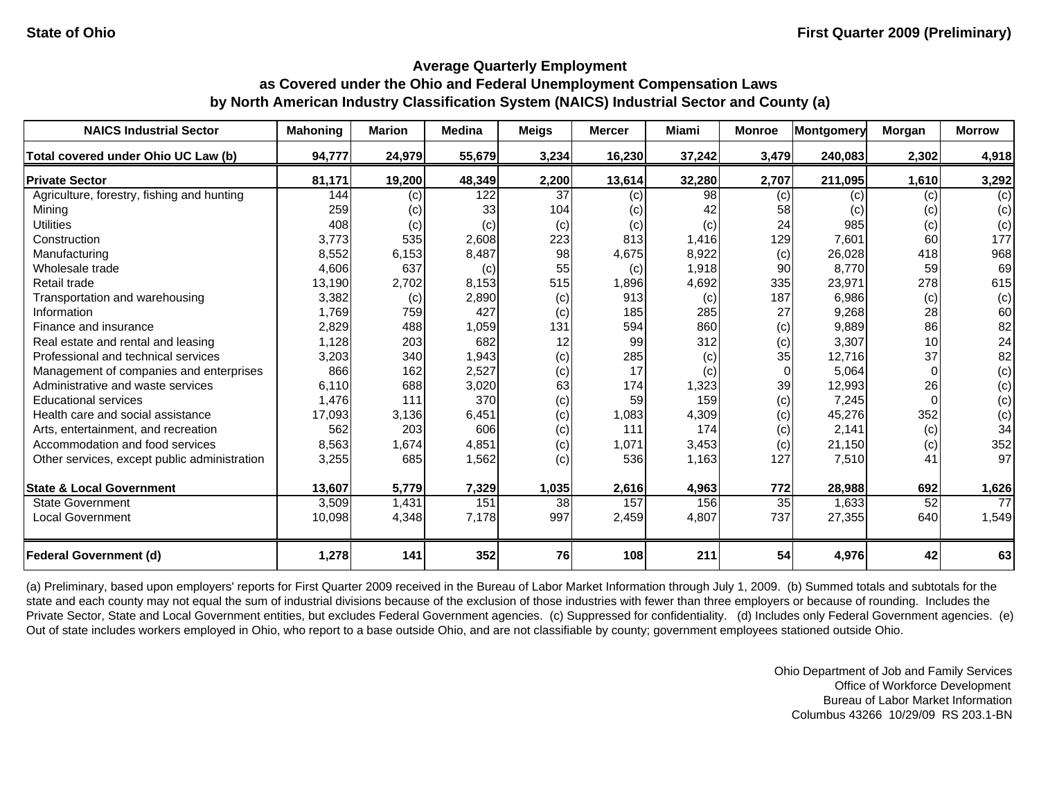| <b>NAICS Industrial Sector</b>               | <b>Mahoning</b> | <b>Marion</b> | <b>Medina</b> | <b>Meigs</b>    | <b>Mercer</b> | Miami  | <b>Monroe</b> | <b>Montgomery</b> | Morgan | <b>Morrow</b> |
|----------------------------------------------|-----------------|---------------|---------------|-----------------|---------------|--------|---------------|-------------------|--------|---------------|
| Total covered under Ohio UC Law (b)          | 94,777          | 24,979        | 55,679        | 3,234           | 16,230        | 37,242 | 3,479         | 240,083           | 2,302  | 4,918         |
| <b>Private Sector</b>                        | 81,171          | 19,200        | 48,349        | 2,200           | 13,614        | 32,280 | 2,707         | 211,095           | 1,610  | 3,292         |
| Agriculture, forestry, fishing and hunting   | 144             | (c)           | 122           | 37              | (c)           | 98     | (c)           | (c)               | (c)    | (c)           |
| Minina                                       | 259             | (c)           | 33            | 104             | (c)           | 42     | 58            | (c)               | (c)    | (c)           |
| <b>Utilities</b>                             | 408             | (c)           | (c)           | (c)             | (c)           | (c)    | 24            | 985               | (c)    | (c)           |
| Construction                                 | 3,773           | 535           | 2,608         | 223             | 813           | 1,416  | 129           | 7,601             | 60     | 177           |
| Manufacturing                                | 8,552           | 6,153         | 8,487         | 98              | 4,675         | 8,922  | (c)           | 26,028            | 418    | 968           |
| Wholesale trade                              | 4,606           | 637           | (c)           | 55              | (c)           | 1,918  | 90            | 8.770             | 59     | 69            |
| Retail trade                                 | 13,190          | 2,702         | 8,153         | 515             | 1,896         | 4,692  | 335           | 23,971            | 278    | 615           |
| Transportation and warehousing               | 3,382           | (c)           | 2,890         | (c)             | 913           | (c)    | 187           | 6,986             | (c)    | (c)           |
| Information                                  | 1.769           | 759           | 427           | (c)             | 185           | 285    | 27            | 9,268             | 28     | 60            |
| Finance and insurance                        | 2,829           | 488           | 1,059         | 131             | 594           | 860    | (c)           | 9,889             | 86     | 82            |
| Real estate and rental and leasing           | 1,128           | 203           | 682           | 12              | 99            | 312    | (c)           | 3,307             | 10     | 24            |
| Professional and technical services          | 3,203           | 340           | 1,943         | (c)             | 285           | (c)    | 35            | 12,716            | 37     | 82            |
| Management of companies and enterprises      | 866             | 162           | 2,527         | (c)             | 17            | (c)    | $\Omega$      | 5,064             |        | (c)           |
| Administrative and waste services            | 6.110           | 688           | 3,020         | 63              | 174           | 1,323  | 39            | 12,993            | 26     | (c)           |
| <b>Educational services</b>                  | 1,476           | 111           | 370           | (c)             | 59            | 159    | (c)           | 7,245             |        | (c)           |
| Health care and social assistance            | 17,093          | 3,136         | 6,451         | (c)             | 1,083         | 4,309  | (c)           | 45,276            | 352    | (c)           |
| Arts, entertainment, and recreation          | 562             | 203           | 606           | (c)             | 111           | 174    | (c)           | 2,141             | (c)    | 34            |
| Accommodation and food services              | 8,563           | 1,674         | 4,851         | (c)             | 1,071         | 3,453  | (c)           | 21,150            | (c)    | 352           |
| Other services, except public administration | 3,255           | 685           | 1,562         | (c)             | 536           | 1,163  | 127           | 7,510             | 41     | 97            |
| <b>State &amp; Local Government</b>          | 13,607          | 5,779         | 7,329         | 1,035           | 2,616         | 4,963  | 772           | 28,988            | 692    | 1,626         |
| <b>State Government</b>                      | 3,509           | 1,431         | 151           | 38 <sup>l</sup> | 157           | 156    | 35            | 1,633             | 52     | 77            |
| Local Government                             | 10,098          | 4,348         | 7,178         | 997             | 2,459         | 4,807  | 737           | 27,355            | 640    | 1,549         |
| <b>Federal Government (d)</b>                | 1,278           | 141           | 352           | 76              | 108           | 211    | 54            | 4,976             | 42     | 63            |

(a) Preliminary, based upon employers' reports for First Quarter 2009 received in the Bureau of Labor Market Information through July 1, 2009. (b) Summed totals and subtotals for the state and each county may not equal the sum of industrial divisions because of the exclusion of those industries with fewer than three employers or because of rounding. Includes the Private Sector, State and Local Government entities, but excludes Federal Government agencies. (c) Suppressed for confidentiality. (d) Includes only Federal Government agencies. (e) Out of state includes workers employed in Ohio, who report to a base outside Ohio, and are not classifiable by county; government employees stationed outside Ohio.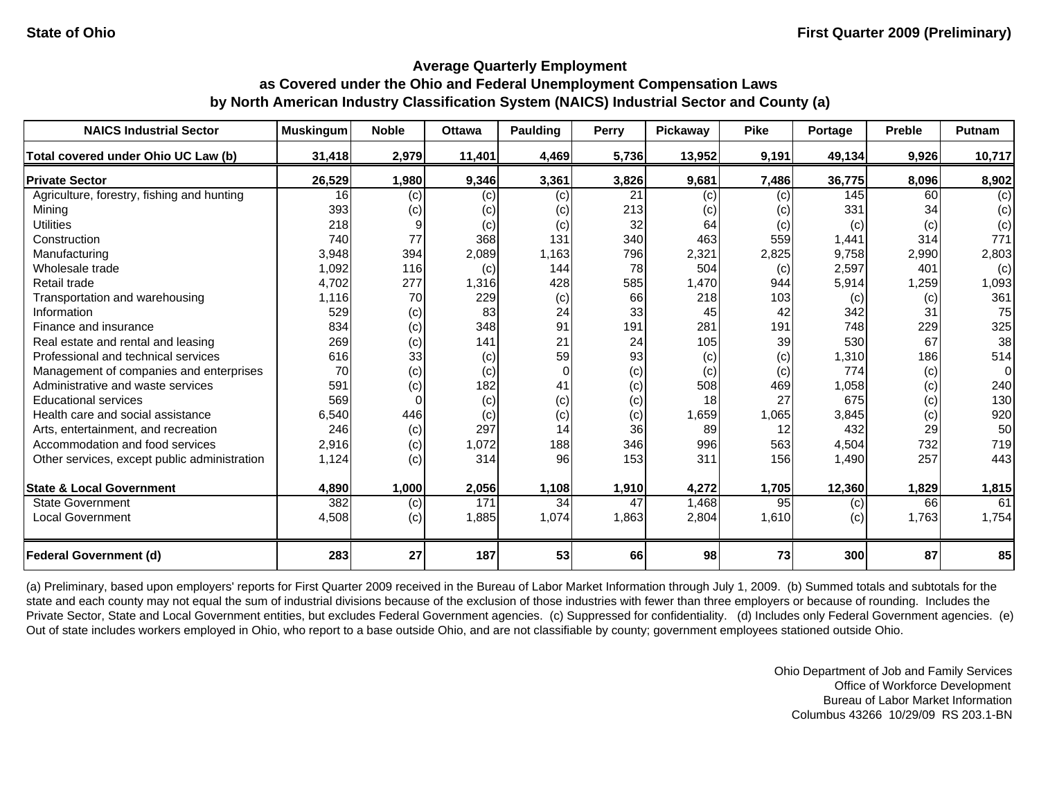| <b>NAICS Industrial Sector</b>               | <b>Muskingum</b> | <b>Noble</b> | <b>Ottawa</b> | Paulding | <b>Perry</b> | Pickaway | <b>Pike</b> | Portage | <b>Preble</b> | <b>Putnam</b>  |
|----------------------------------------------|------------------|--------------|---------------|----------|--------------|----------|-------------|---------|---------------|----------------|
| Total covered under Ohio UC Law (b)          | 31,418           | 2,979        | 11,401        | 4,469    | 5,736        | 13,952   | 9,191       | 49,134  | 9,926         | 10,717         |
| <b>Private Sector</b>                        | 26,529           | 1,980        | 9,346         | 3,361    | 3,826        | 9,681    | 7,486       | 36,775  | 8,096         | 8,902          |
| Agriculture, forestry, fishing and hunting   | 16               | (c)          | (c)           | (c)      | 21           | (c)      | (c)         | 145     | 60            | (c)            |
| Mining                                       | 393              | (c)          | (c)           | (c)      | 213          | (c)      | (c)         | 331     | 34            | (c)            |
| <b>Utilities</b>                             | 218              |              | (c)           | (c)      | 32           | 64       | (c)         | (c)     | (c)           | (c)            |
| Construction                                 | 740              | 77           | 368           | 131      | 340          | 463      | 559         | 1,441   | 314           | 771            |
| Manufacturing                                | 3,948            | 394          | 2,089         | 1,163    | 796          | 2,321    | 2,825       | 9,758   | 2,990         | 2,803          |
| Wholesale trade                              | 1,092            | 116          | (c)           | 144      | 78           | 504      | (c)         | 2,597   | 401           | (c)            |
| Retail trade                                 | 4,702            | 277          | 1,316         | 428      | 585          | 1,470    | 944         | 5,914   | 1,259         | 1,093          |
| Transportation and warehousing               | 1,116            | 70           | 229           | (c)      | 66           | 218      | 103         | (c)     | (c)           | 361            |
| Information                                  | 529              | (c)          | 83            | 24       | 33           | 45       | 42          | 342     | 31            | 75             |
| Finance and insurance                        | 834              | (c)          | 348           | 91       | 191          | 281      | 191         | 748     | 229           | 325            |
| Real estate and rental and leasing           | 269              | (c)          | 141           | 21       | 24           | 105      | 39          | 530     | 67            | 38             |
| Professional and technical services          | 616              | 33           | (c)           | 59       | 93           | (c)      | (c)         | 1,310   | 186           | 514            |
| Management of companies and enterprises      | 70               | (c)          | (c)           | $\Omega$ | (c)          | (c)      | (c)         | 774     | (c)           | $\overline{0}$ |
| Administrative and waste services            | 591              | (c)          | 182           | 41       | (c)          | 508      | 469         | 1,058   | (c)           | 240            |
| <b>Educational services</b>                  | 569              |              | (c)           | (c)      | (c)          | 18       | 27          | 675     | (c)           | 130            |
| Health care and social assistance            | 6,540            | 446          | (c)           | (c)      | (c)          | 1,659    | 1,065       | 3,845   | (c)           | 920            |
| Arts, entertainment, and recreation          | 246              | (c)          | 297           | 14       | 36           | 89       | 12          | 432     | 29            | 50             |
| Accommodation and food services              | 2,916            | (c)          | 1,072         | 188      | 346          | 996      | 563         | 4,504   | 732           | 719            |
| Other services, except public administration | 1,124            | (c)          | 314           | 96       | 153          | 311      | 156         | 1,490   | 257           | 443            |
| <b>State &amp; Local Government</b>          | 4,890            | 1,000        | 2,056         | 1,108    | 1,910        | 4,272    | 1,705       | 12,360  | 1,829         | 1,815          |
| <b>State Government</b>                      | 382              | (c)          | 171           | 34       | 47           | 1,468    | 95          | (c)     | 66            | 61             |
| <b>Local Government</b>                      | 4,508            | (c)          | 1,885         | 1,074    | 1,863        | 2,804    | 1,610       | (c)     | 1,763         | 1,754          |
| <b>Federal Government (d)</b>                | 283              | 27           | 187           | 53       | 66           | 98       | 73          | 300     | 87            | 85             |

(a) Preliminary, based upon employers' reports for First Quarter 2009 received in the Bureau of Labor Market Information through July 1, 2009. (b) Summed totals and subtotals for the state and each county may not equal the sum of industrial divisions because of the exclusion of those industries with fewer than three employers or because of rounding. Includes the Private Sector, State and Local Government entities, but excludes Federal Government agencies. (c) Suppressed for confidentiality. (d) Includes only Federal Government agencies. (e) Out of state includes workers employed in Ohio, who report to a base outside Ohio, and are not classifiable by county; government employees stationed outside Ohio.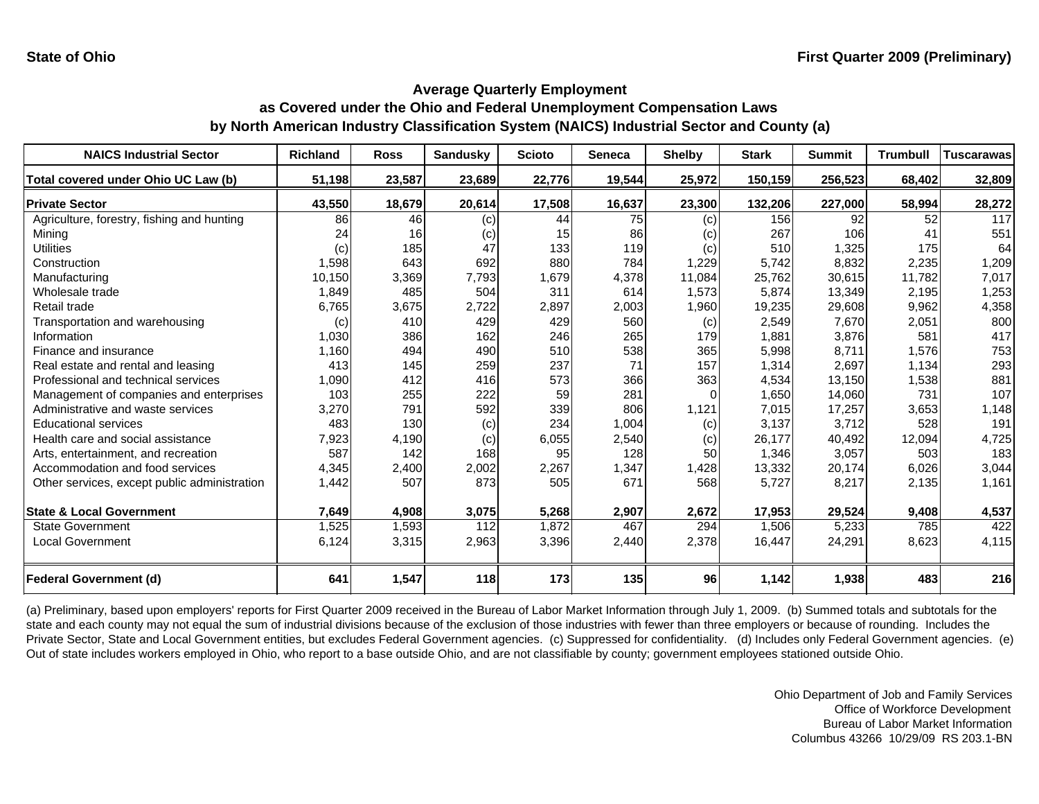| <b>NAICS Industrial Sector</b>               | <b>Richland</b> | <b>Ross</b> | <b>Sandusky</b> | <b>Scioto</b> | <b>Seneca</b> | <b>Shelby</b> | <b>Stark</b> | <b>Summit</b> | <b>Trumbull</b> | <b>Tuscarawas</b> |
|----------------------------------------------|-----------------|-------------|-----------------|---------------|---------------|---------------|--------------|---------------|-----------------|-------------------|
| Total covered under Ohio UC Law (b)          | 51,198          | 23,587      | 23,689          | 22,776        | 19,544        | 25,972        | 150,159      | 256,523       | 68,402          | 32,809            |
| <b>Private Sector</b>                        | 43,550          | 18,679      | 20,614          | 17,508        | 16,637        | 23,300        | 132,206      | 227,000       | 58,994          | 28,272            |
| Agriculture, forestry, fishing and hunting   | 86              | 46          | (c)             | 44            | 75            | (c)           | 156          | 92            | 52              | $\overline{117}$  |
| Mining                                       | 24              | 16          | (c)             | 15            | 86            | (c)           | 267          | 106           | 41              | 551               |
| <b>Utilities</b>                             | (c)             | 185         | 47              | 133           | 119           | (c)           | 510          | 1,325         | 175             | 64                |
| Construction                                 | 1,598           | 643         | 692             | 880           | 784           | 1,229         | 5,742        | 8,832         | 2,235           | 1,209             |
| Manufacturing                                | 10,150          | 3,369       | 7,793           | 1,679         | 4,378         | 11,084        | 25,762       | 30,615        | 11,782          | 7,017             |
| Wholesale trade                              | 1,849           | 485         | 504             | 311           | 614           | 1,573         | 5,874        | 13,349        | 2,195           | 1,253             |
| Retail trade                                 | 6,765           | 3,675       | 2.722           | 2,897         | 2,003         | 1,960         | 19,235       | 29,608        | 9,962           | 4,358             |
| Transportation and warehousing               | (c)             | 410         | 429             | 429           | 560           | (c)           | 2,549        | 7,670         | 2,051           | 800               |
| Information                                  | 1,030           | 386         | 162             | 246           | 265           | 179           | 1,881        | 3,876         | 581             | 417               |
| Finance and insurance                        | 1,160           | 494         | 490             | 510           | 538           | 365           | 5,998        | 8,711         | 1,576           | 753               |
| Real estate and rental and leasing           | 413             | 145         | 259             | 237           | 71            | 157           | 1,314        | 2,697         | 1,134           | 293               |
| Professional and technical services          | 1,090           | 412         | 416             | 573           | 366           | 363           | 4,534        | 13,150        | 1,538           | 881               |
| Management of companies and enterprises      | 103             | 255         | 222             | 59            | 281           | 0             | 1,650        | 14,060        | 731             | 107               |
| Administrative and waste services            | 3,270           | 791         | 592             | 339           | 806           | 1,121         | 7,015        | 17,257        | 3,653           | 1,148             |
| <b>Educational services</b>                  | 483             | 130         | (c)             | 234           | 1,004         | (c)           | 3,137        | 3,712         | 528             | 191               |
| Health care and social assistance            | 7,923           | 4,190       | (c)             | 6,055         | 2,540         | (c)           | 26,177       | 40,492        | 12,094          | 4,725             |
| Arts, entertainment, and recreation          | 587             | 142         | 168             | 95            | 128           | 50            | 1,346        | 3,057         | 503             | 183               |
| Accommodation and food services              | 4,345           | 2,400       | 2,002           | 2,267         | 1,347         | 1,428         | 13,332       | 20,174        | 6,026           | 3,044             |
| Other services, except public administration | 1,442           | 507         | 873             | 505           | 671           | 568           | 5,727        | 8,217         | 2,135           | 1,161             |
|                                              |                 |             |                 |               |               |               |              |               |                 |                   |
| <b>State &amp; Local Government</b>          | 7,649           | 4,908       | 3,075           | 5,268         | 2,907         | 2,672         | 17,953       | 29,524        | 9,408           | 4,537             |
| <b>State Government</b>                      | 1,525           | 1,593       | 112             | 1,872         | 467           | 294           | 1,506        | 5,233         | 785             | 422               |
| <b>Local Government</b>                      | 6,124           | 3,315       | 2,963           | 3,396         | 2,440         | 2,378         | 16,447       | 24,291        | 8,623           | 4,115             |
| <b>Federal Government (d)</b>                | 641             | 1,547       | 118             | 173           | 135           | 96            | 1,142        | 1,938         | 483             | 216               |

(a) Preliminary, based upon employers' reports for First Quarter 2009 received in the Bureau of Labor Market Information through July 1, 2009. (b) Summed totals and subtotals for the state and each county may not equal the sum of industrial divisions because of the exclusion of those industries with fewer than three employers or because of rounding. Includes the Private Sector, State and Local Government entities, but excludes Federal Government agencies. (c) Suppressed for confidentiality. (d) Includes only Federal Government agencies. (e) Out of state includes workers employed in Ohio, who report to a base outside Ohio, and are not classifiable by county; government employees stationed outside Ohio.